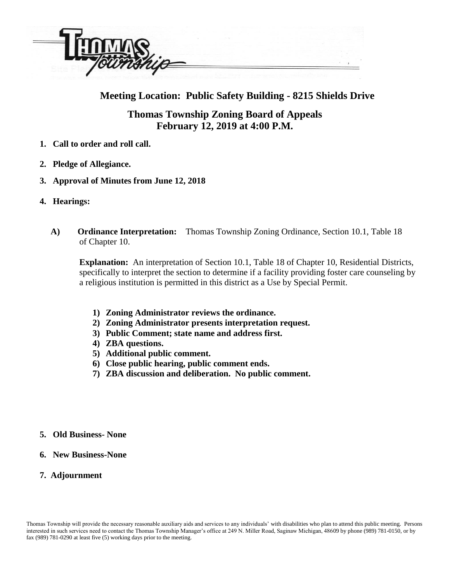

## **Meeting Location: Public Safety Building - 8215 Shields Drive**

## **Thomas Township Zoning Board of Appeals February 12, 2019 at 4:00 P.M.**

- **1. Call to order and roll call.**
- **2. Pledge of Allegiance.**
- **3. Approval of Minutes from June 12, 2018**
- **4. Hearings:**
	- **A) Ordinance Interpretation:** Thomas Township Zoning Ordinance, Section 10.1, Table 18 of Chapter 10.

 **Explanation:** An interpretation of Section 10.1, Table 18 of Chapter 10, Residential Districts, specifically to interpret the section to determine if a facility providing foster care counseling by a religious institution is permitted in this district as a Use by Special Permit.

- **1) Zoning Administrator reviews the ordinance.**
- **2) Zoning Administrator presents interpretation request.**
- **3) Public Comment; state name and address first.**
- **4) ZBA questions.**
- **5) Additional public comment.**
- **6) Close public hearing, public comment ends.**
- **7) ZBA discussion and deliberation. No public comment.**
- **5. Old Business- None**
- **6. New Business-None**
- **7. Adjournment**